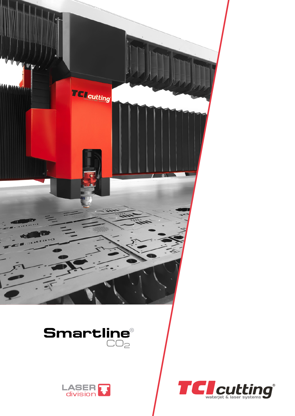





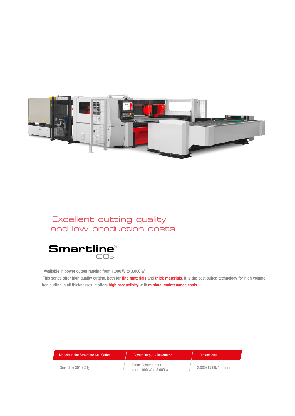

## Excellent cutting quality and low production costs



Available in power output ranging from 1.000 W to 3.000 W.

This series offer high quality cutting, both for *fine materials* and *thick materials*. It is the best suited technology for high volume iron cutting in all thicknesses. It offers high productivity with minimal maintenance costs.

| Models in the Smartline CO <sub>2</sub> Series | <b>Power Output - Resonator</b>               | <b>Dimensions</b>  |
|------------------------------------------------|-----------------------------------------------|--------------------|
| Smartline $3015$ $C_0$ ,                       | Fanuc.Power output<br>from 1,000 W to 3,000 W | 3.000x1.500x100 mm |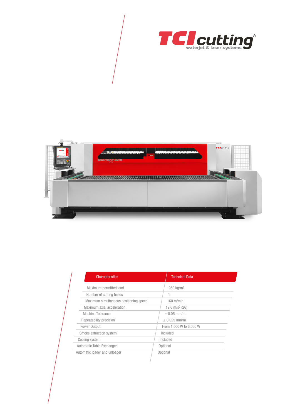



| <b>Characteristics</b>                 | <b>Technical Data</b>   |  |
|----------------------------------------|-------------------------|--|
| Maximum permitted load                 | 950 kg/m <sup>2</sup>   |  |
| Number of cutting heads                |                         |  |
| Maximum simultaneous positioning speed | $160$ m/min             |  |
| Maximum axial acceleration             | 19,6 $m/s^2$ (2G)       |  |
| Machine Tolerance                      | $\pm$ 0.05 mm/m         |  |
| Repeatability precision                | $± 0.025$ mm/m          |  |
| Power Output                           | From 1,000 W to 3,000 W |  |
| Smoke extraction system                | Included                |  |
| Cooling system                         | Included                |  |
| Automatic Table Exchanger              | Optional                |  |
| Automatic loader and unloader          | Optional                |  |
|                                        |                         |  |